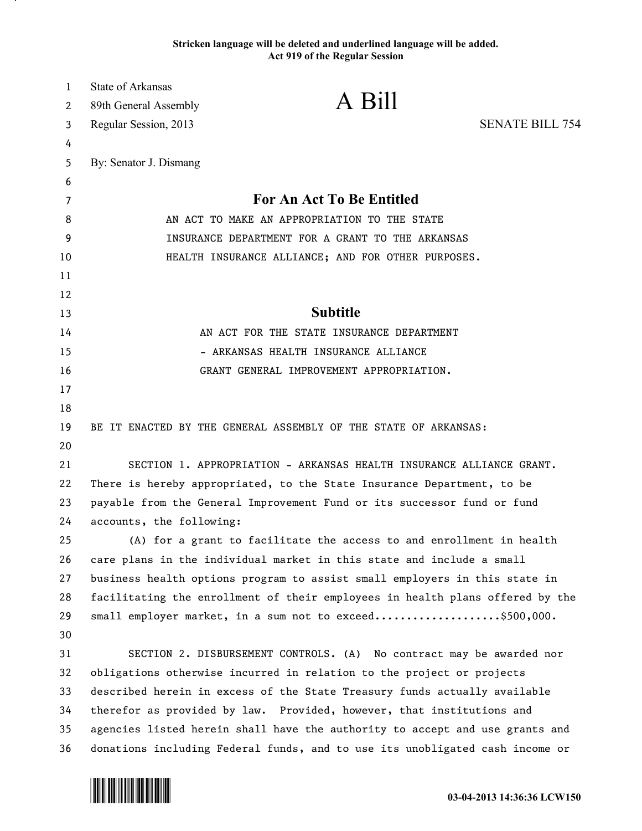## **Stricken language will be deleted and underlined language will be added. Act 919 of the Regular Session**

| 1  | State of Arkansas                                                       |                                                                               |                        |
|----|-------------------------------------------------------------------------|-------------------------------------------------------------------------------|------------------------|
| 2  | 89th General Assembly                                                   | A Bill                                                                        |                        |
| 3  | Regular Session, 2013                                                   |                                                                               | <b>SENATE BILL 754</b> |
| 4  |                                                                         |                                                                               |                        |
| 5  | By: Senator J. Dismang                                                  |                                                                               |                        |
| 6  |                                                                         |                                                                               |                        |
| 7  |                                                                         | <b>For An Act To Be Entitled</b>                                              |                        |
| 8  | AN ACT TO MAKE AN APPROPRIATION TO THE STATE                            |                                                                               |                        |
| 9  | INSURANCE DEPARTMENT FOR A GRANT TO THE ARKANSAS                        |                                                                               |                        |
| 10 |                                                                         | HEALTH INSURANCE ALLIANCE; AND FOR OTHER PURPOSES.                            |                        |
| 11 |                                                                         |                                                                               |                        |
| 12 |                                                                         |                                                                               |                        |
| 13 |                                                                         | <b>Subtitle</b>                                                               |                        |
| 14 |                                                                         | AN ACT FOR THE STATE INSURANCE DEPARTMENT                                     |                        |
| 15 |                                                                         | - ARKANSAS HEALTH INSURANCE ALLIANCE                                          |                        |
| 16 |                                                                         | GRANT GENERAL IMPROVEMENT APPROPRIATION.                                      |                        |
| 17 |                                                                         |                                                                               |                        |
| 18 |                                                                         |                                                                               |                        |
| 19 |                                                                         | BE IT ENACTED BY THE GENERAL ASSEMBLY OF THE STATE OF ARKANSAS:               |                        |
| 20 |                                                                         |                                                                               |                        |
| 21 |                                                                         | SECTION 1. APPROPRIATION - ARKANSAS HEALTH INSURANCE ALLIANCE GRANT.          |                        |
| 22 | There is hereby appropriated, to the State Insurance Department, to be  |                                                                               |                        |
| 23 | payable from the General Improvement Fund or its successor fund or fund |                                                                               |                        |
| 24 | accounts, the following:                                                |                                                                               |                        |
| 25 |                                                                         | (A) for a grant to facilitate the access to and enrollment in health          |                        |
| 26 |                                                                         | care plans in the individual market in this state and include a small         |                        |
| 27 |                                                                         | business health options program to assist small employers in this state in    |                        |
| 28 |                                                                         | facilitating the enrollment of their employees in health plans offered by the |                        |
| 29 |                                                                         | small employer market, in a sum not to exceed\$500,000.                       |                        |
| 30 |                                                                         |                                                                               |                        |
| 31 |                                                                         | SECTION 2. DISBURSEMENT CONTROLS. (A) No contract may be awarded nor          |                        |
| 32 |                                                                         | obligations otherwise incurred in relation to the project or projects         |                        |
| 33 |                                                                         | described herein in excess of the State Treasury funds actually available     |                        |
| 34 |                                                                         | therefor as provided by law. Provided, however, that institutions and         |                        |
| 35 |                                                                         | agencies listed herein shall have the authority to accept and use grants and  |                        |
| 36 |                                                                         | donations including Federal funds, and to use its unobligated cash income or  |                        |



.